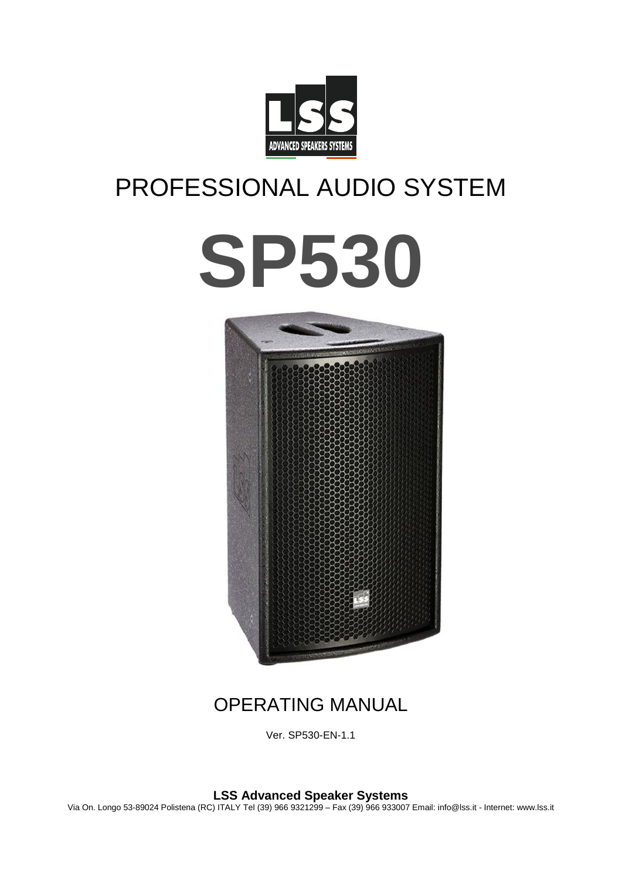

# PROFESSIONAL AUDIO SYSTEM





# OPERATING MANUAL

Ver. SP530-EN-1.1

**LSS Advanced Speaker Systems**

Via On. Longo 53-89024 Polistena (RC) ITALY Tel (39) 966 9321299 – Fax (39) 966 933007 Email: info@lss.it - Internet: www.lss.it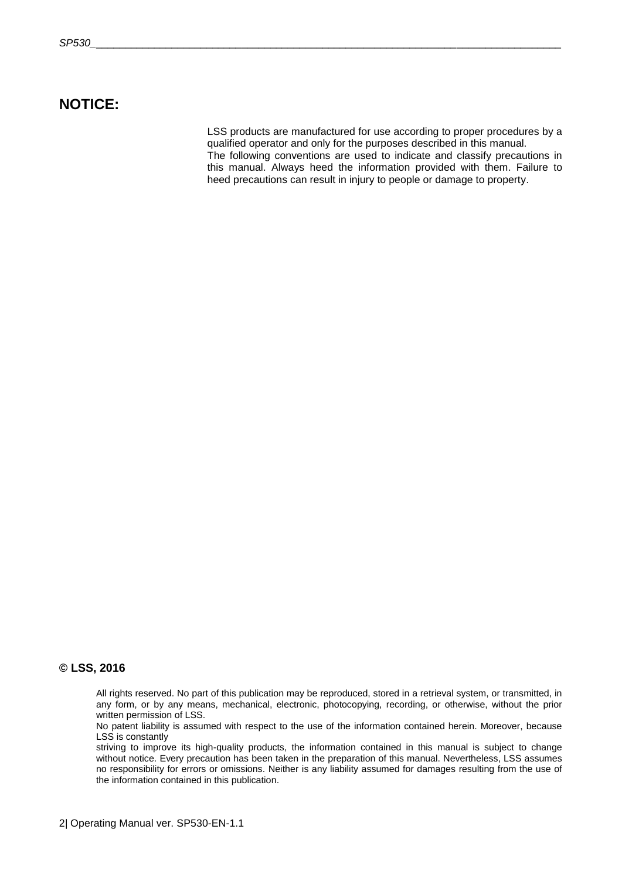### **NOTICE:**

LSS products are manufactured for use according to proper procedures by a qualified operator and only for the purposes described in this manual. The following conventions are used to indicate and classify precautions in this manual. Always heed the information provided with them. Failure to heed precautions can result in injury to people or damage to property.

#### **© LSS, 2016**

All rights reserved. No part of this publication may be reproduced, stored in a retrieval system, or transmitted, in any form, or by any means, mechanical, electronic, photocopying, recording, or otherwise, without the prior written permission of LSS.

No patent liability is assumed with respect to the use of the information contained herein. Moreover, because LSS is constantly

striving to improve its high-quality products, the information contained in this manual is subject to change without notice. Every precaution has been taken in the preparation of this manual. Nevertheless, LSS assumes no responsibility for errors or omissions. Neither is any liability assumed for damages resulting from the use of the information contained in this publication.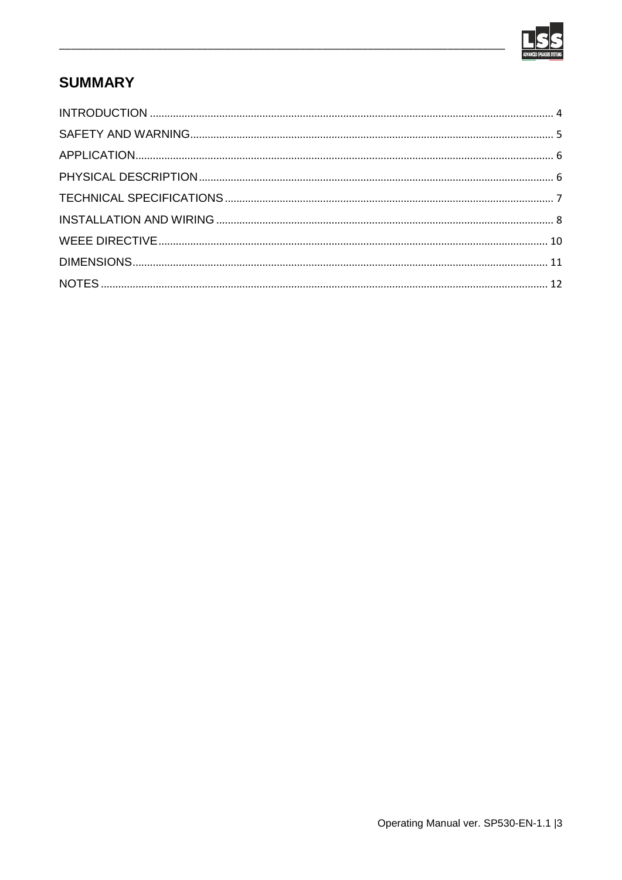

## **SUMMARY**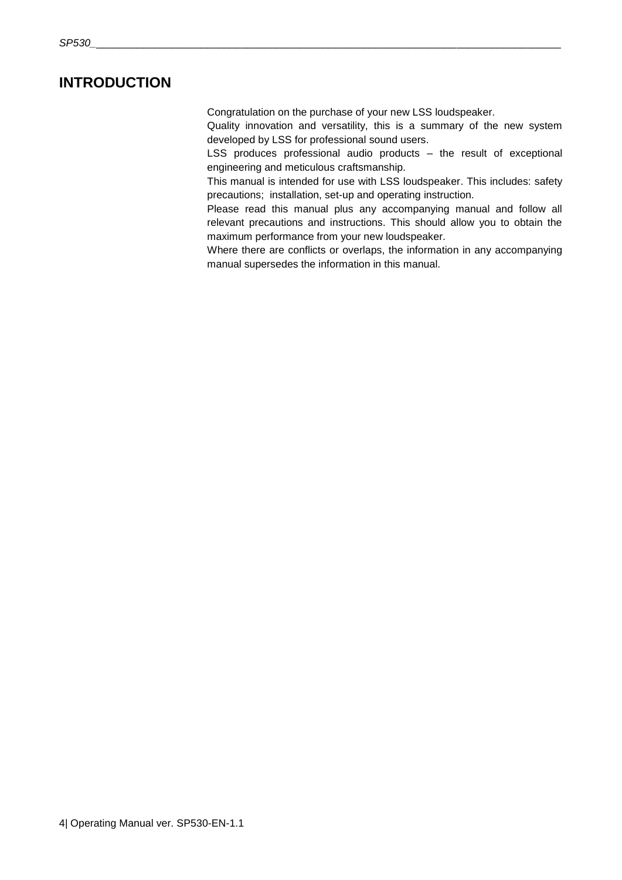### <span id="page-3-0"></span>**INTRODUCTION**

Congratulation on the purchase of your new LSS loudspeaker.

Quality innovation and versatility, this is a summary of the new system developed by LSS for professional sound users.

LSS produces professional audio products – the result of exceptional engineering and meticulous craftsmanship.

This manual is intended for use with LSS loudspeaker. This includes: safety precautions; installation, set-up and operating instruction.

Please read this manual plus any accompanying manual and follow all relevant precautions and instructions. This should allow you to obtain the maximum performance from your new loudspeaker.

Where there are conflicts or overlaps, the information in any accompanying manual supersedes the information in this manual.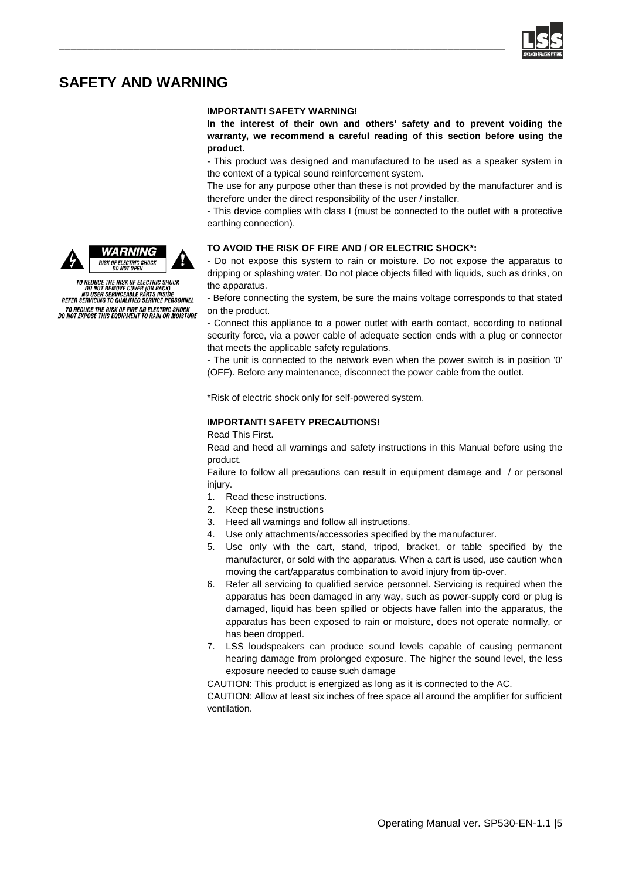

### <span id="page-4-0"></span>**SAFETY AND WARNING**

#### **IMPORTANT! SAFETY WARNING!**

\_\_\_\_\_\_\_\_\_\_\_\_\_\_\_\_\_\_\_\_\_\_\_\_\_\_\_\_\_\_\_\_\_\_\_\_\_\_\_\_\_\_\_\_\_\_\_\_\_\_\_\_\_\_\_\_\_\_\_\_\_\_\_\_\_\_\_\_\_\_\_\_\_\_\_\_\_\_

**In the interest of their own and others' safety and to prevent voiding the warranty, we recommend a careful reading of this section before using the product.**

- This product was designed and manufactured to be used as a speaker system in the context of a typical sound reinforcement system.

The use for any purpose other than these is not provided by the manufacturer and is therefore under the direct responsibility of the user / installer.

- This device complies with class I (must be connected to the outlet with a protective earthing connection).

#### **TO AVOID THE RISK OF FIRE AND / OR ELECTRIC SHOCK\*:**

- Do not expose this system to rain or moisture. Do not expose the apparatus to dripping or splashing water. Do not place objects filled with liquids, such as drinks, on the apparatus.

- Before connecting the system, be sure the mains voltage corresponds to that stated on the product.

- Connect this appliance to a power outlet with earth contact, according to national security force, via a power cable of adequate section ends with a plug or connector that meets the applicable safety regulations.

- The unit is connected to the network even when the power switch is in position '0' (OFF). Before any maintenance, disconnect the power cable from the outlet.

\*Risk of electric shock only for self-powered system.

#### **IMPORTANT! SAFETY PRECAUTIONS!**

Read This First.

Read and heed all warnings and safety instructions in this Manual before using the product.

Failure to follow all precautions can result in equipment damage and / or personal injury.

- 1. Read these instructions.
- 2. Keep these instructions
- 3. Heed all warnings and follow all instructions.
- 4. Use only attachments/accessories specified by the manufacturer.
- 5. Use only with the cart, stand, tripod, bracket, or table specified by the manufacturer, or sold with the apparatus. When a cart is used, use caution when moving the cart/apparatus combination to avoid injury from tip-over.
- 6. Refer all servicing to qualified service personnel. Servicing is required when the apparatus has been damaged in any way, such as power-supply cord or plug is damaged, liquid has been spilled or objects have fallen into the apparatus, the apparatus has been exposed to rain or moisture, does not operate normally, or has been dropped.
- 7. LSS loudspeakers can produce sound levels capable of causing permanent hearing damage from prolonged exposure. The higher the sound level, the less exposure needed to cause such damage

CAUTION: This product is energized as long as it is connected to the AC.

CAUTION: Allow at least six inches of free space all around the amplifier for sufficient ventilation.





TO REDUCE THE RISK OF ELECTRIC SHOCK<br>DO NOT REMOVE COVER (OR BACK)<br>NO USER SERVICEABLE PARTS INSIDE<br>REFER SERVICING TO QUALIFIED SERVICE PERSONNEL

TO REDUCE THE RISK OF FIRE OR ELECTRIC SHOCK<br>DO NOT EXPOSE THIS EQUIPMENT TO RAIN OR MOISTURE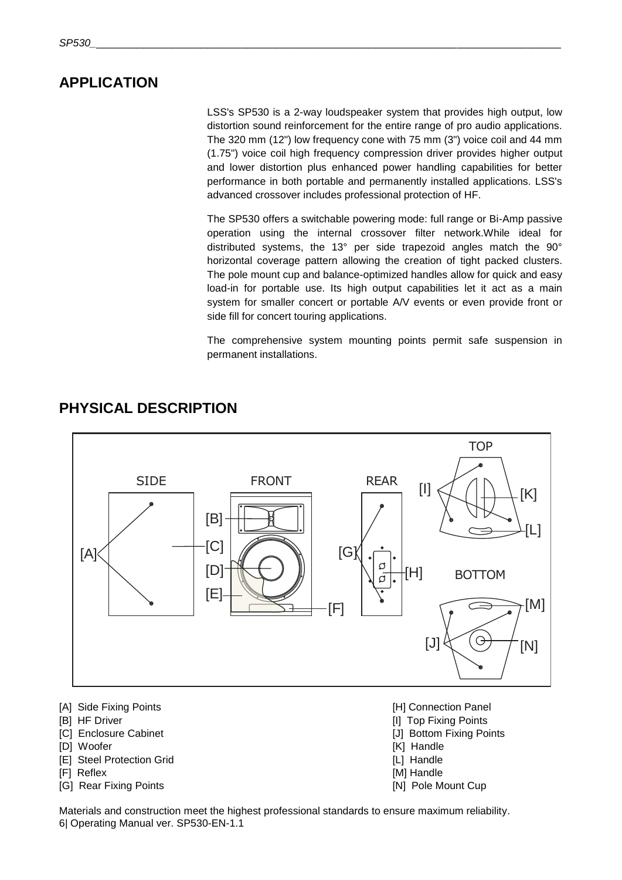### <span id="page-5-0"></span>**APPLICATION**

LSS's SP530 is a 2-way loudspeaker system that provides high output, low distortion sound reinforcement for the entire range of pro audio applications. The 320 mm (12") low frequency cone with 75 mm (3") voice coil and 44 mm (1.75") voice coil high frequency compression driver provides higher output and lower distortion plus enhanced power handling capabilities for better performance in both portable and permanently installed applications. LSS's advanced crossover includes professional protection of HF.

The SP530 offers a switchable powering mode: full range or Bi-Amp passive operation using the internal crossover filter network.While ideal for distributed systems, the 13° per side trapezoid angles match the 90° horizontal coverage pattern allowing the creation of tight packed clusters. The pole mount cup and balance-optimized handles allow for quick and easy load-in for portable use. Its high output capabilities let it act as a main system for smaller concert or portable A/V events or even provide front or side fill for concert touring applications.

The comprehensive system mounting points permit safe suspension in permanent installations.



### <span id="page-5-1"></span>**PHYSICAL DESCRIPTION**

- [A] Side Fixing Points [H] Connection Panel
- 
- 
- 
- [E] Steel Protection Grid **and Contact Contact Contact Contact Contact Contact Contact Contact Contact Contact Contact Contact Contact Contact Contact Contact Contact Contact Contact Contact Contact Contact Contact Contact**
- 
- [G] Rear Fixing Points **[N] Pole Mount Cup [N] Pole Mount Cup**
- 
- [B] HF Driver [B] HF Driver [I] Top Fixing Points
- [C] Enclosure Cabinet **[J]** Bottom Fixing Points
- [D] Woofer [C] Woofer [K] Handle
	-
- [F] Reflex [M] Handle
	-

6| Operating Manual ver. SP530-EN-1.1 Materials and construction meet the highest professional standards to ensure maximum reliability.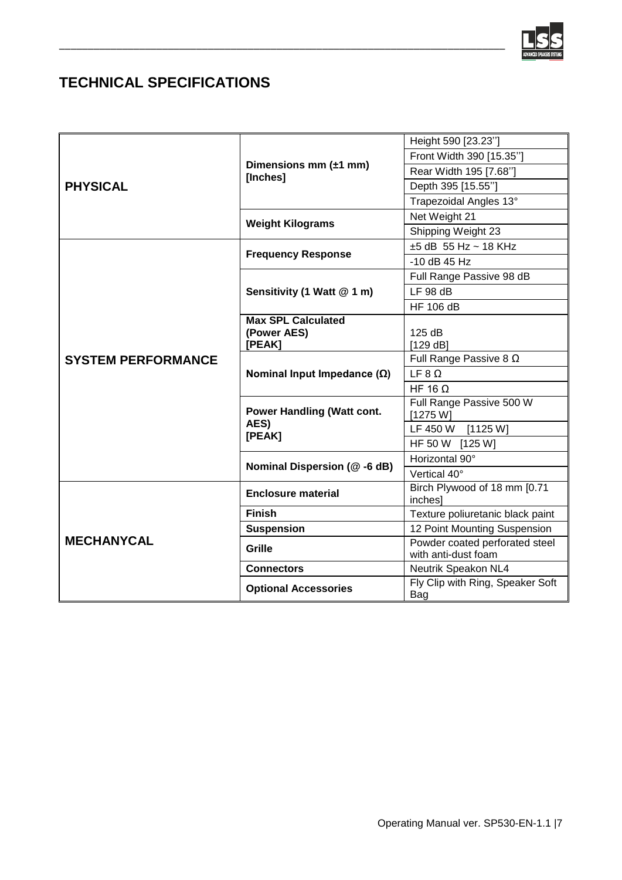

# <span id="page-6-0"></span>**TECHNICAL SPECIFICATIONS**

| <b>PHYSICAL</b>           | Dimensions mm $(\pm 1$ mm)<br>[Inches]              | Height 590 [23.23"]                                   |
|---------------------------|-----------------------------------------------------|-------------------------------------------------------|
|                           |                                                     | Front Width 390 [15.35"]                              |
|                           |                                                     | Rear Width 195 [7.68"]                                |
|                           |                                                     | Depth 395 [15.55"]                                    |
|                           |                                                     | Trapezoidal Angles 13°                                |
|                           | <b>Weight Kilograms</b>                             | Net Weight 21                                         |
|                           |                                                     | Shipping Weight 23                                    |
| <b>SYSTEM PERFORMANCE</b> | <b>Frequency Response</b>                           | $±5$ dB 55 Hz ~ 18 KHz                                |
|                           |                                                     | -10 dB 45 Hz                                          |
|                           | Sensitivity (1 Watt @ 1 m)                          | Full Range Passive 98 dB                              |
|                           |                                                     | LF 98 dB                                              |
|                           |                                                     | <b>HF 106 dB</b>                                      |
|                           | <b>Max SPL Calculated</b>                           |                                                       |
|                           | (Power AES)<br>[PEAK]                               | 125 dB<br>[129 dB]                                    |
|                           | Nominal Input Impedance $(\Omega)$                  | Full Range Passive 8 $\Omega$                         |
|                           |                                                     | LF $8 \Omega$                                         |
|                           |                                                     | HF 16 $\Omega$                                        |
|                           | <b>Power Handling (Watt cont.</b><br>AES)<br>[PEAK] | Full Range Passive 500 W                              |
|                           |                                                     | [1275 W]                                              |
|                           |                                                     | LF 450 W [1125 W]                                     |
|                           |                                                     | HF 50 W [125 W]                                       |
|                           | Nominal Dispersion (@-6 dB)                         | Horizontal 90°                                        |
|                           |                                                     | Vertical 40°                                          |
| <b>MECHANYCAL</b>         | <b>Enclosure material</b>                           | Birch Plywood of 18 mm [0.71<br>inches]               |
|                           | <b>Finish</b>                                       | Texture poliuretanic black paint                      |
|                           | <b>Suspension</b>                                   | 12 Point Mounting Suspension                          |
|                           | Grille                                              | Powder coated perforated steel<br>with anti-dust foam |
|                           | <b>Connectors</b>                                   | Neutrik Speakon NL4                                   |
|                           | <b>Optional Accessories</b>                         | Fly Clip with Ring, Speaker Soft<br>Bag               |

\_\_\_\_\_\_\_\_\_\_\_\_\_\_\_\_\_\_\_\_\_\_\_\_\_\_\_\_\_\_\_\_\_\_\_\_\_\_\_\_\_\_\_\_\_\_\_\_\_\_\_\_\_\_\_\_\_\_\_\_\_\_\_\_\_\_\_\_\_\_\_\_\_\_\_\_\_\_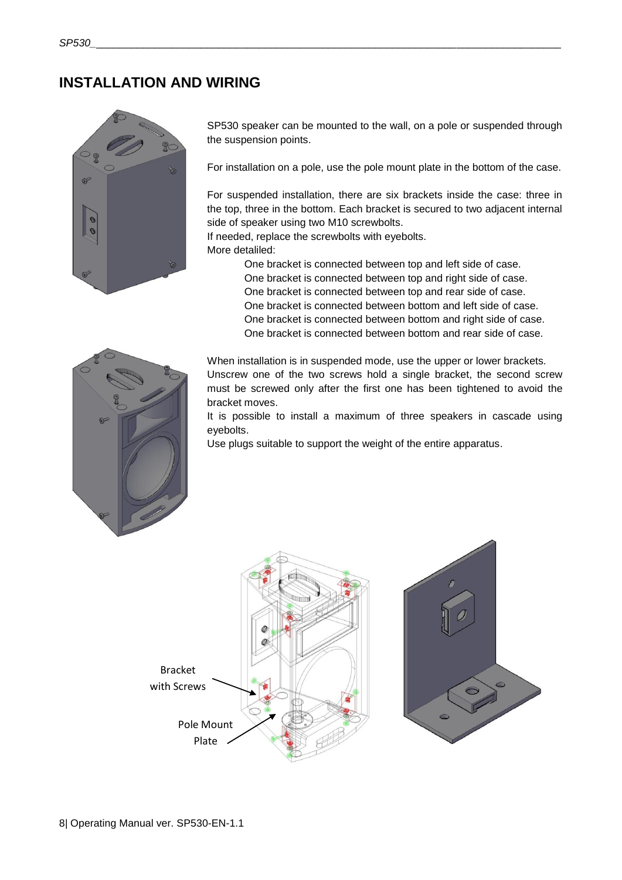### <span id="page-7-0"></span>**INSTALLATION AND WIRING**



SP530 speaker can be mounted to the wall, on a pole or suspended through the suspension points.

For installation on a pole, use the pole mount plate in the bottom of the case.

For suspended installation, there are six brackets inside the case: three in the top, three in the bottom. Each bracket is secured to two adjacent internal side of speaker using two M10 screwbolts.

If needed, replace the screwbolts with eyebolts. More detaliled:

> One bracket is connected between top and left side of case. One bracket is connected between top and right side of case. One bracket is connected between top and rear side of case. One bracket is connected between bottom and left side of case. One bracket is connected between bottom and right side of case. One bracket is connected between bottom and rear side of case.



When installation is in suspended mode, use the upper or lower brackets. Unscrew one of the two screws hold a single bracket, the second screw must be screwed only after the first one has been tightened to avoid the bracket moves.

It is possible to install a maximum of three speakers in cascade using eyebolts.

Use plugs suitable to support the weight of the entire apparatus.

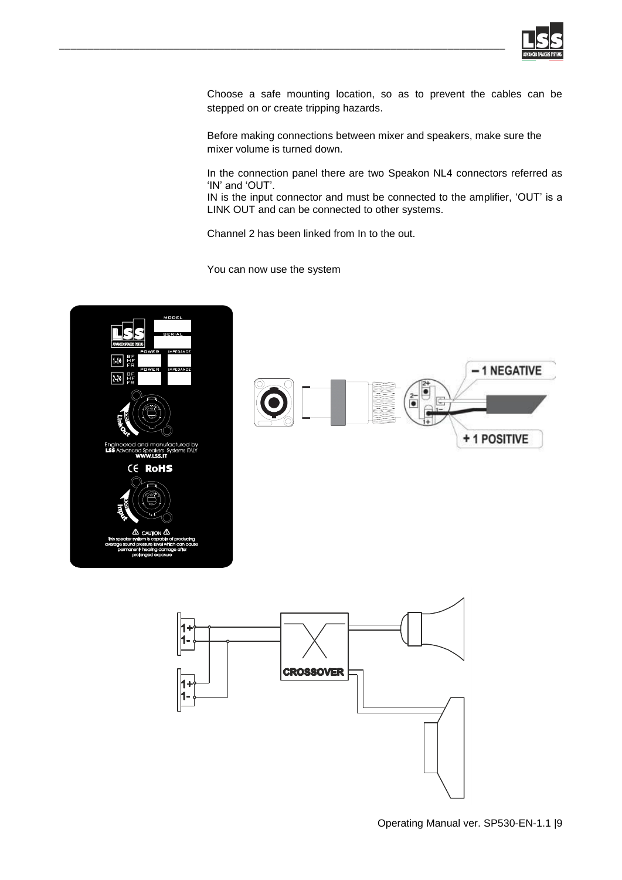

Choose a safe mounting location, so as to prevent the cables can be stepped on or create tripping hazards.

Before making connections between mixer and speakers, make sure the mixer volume is turned down.

In the connection panel there are two Speakon NL4 connectors referred as 'IN' and 'OUT'.

IN is the input connector and must be connected to the amplifier, 'OUT' is a LINK OUT and can be connected to other systems.

Channel 2 has been linked from In to the out.

You can now use the system

\_\_\_\_\_\_\_\_\_\_\_\_\_\_\_\_\_\_\_\_\_\_\_\_\_\_\_\_\_\_\_\_\_\_\_\_\_\_\_\_\_\_\_\_\_\_\_\_\_\_\_\_\_\_\_\_\_\_\_\_\_\_\_\_\_\_\_\_\_\_\_\_\_\_\_\_\_\_



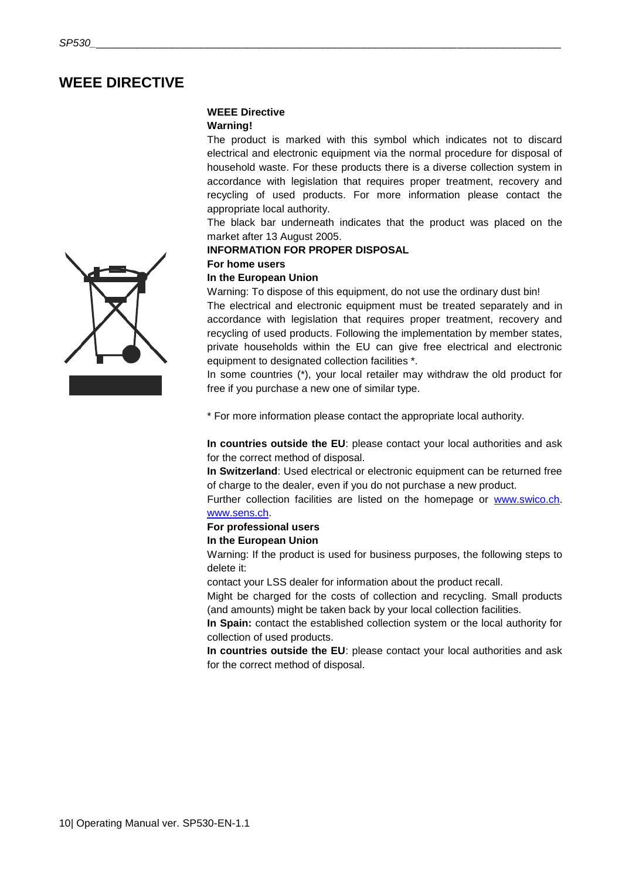### <span id="page-9-0"></span>**WEEE DIRECTIVE**

### **WEEE Directive**

#### **Warning!**

The product is marked with this symbol which indicates not to discard electrical and electronic equipment via the normal procedure for disposal of household waste. For these products there is a diverse collection system in accordance with legislation that requires proper treatment, recovery and recycling of used products. For more information please contact the appropriate local authority.

The black bar underneath indicates that the product was placed on the market after 13 August 2005.

#### **INFORMATION FOR PROPER DISPOSAL**

### **For home users**

### **In the European Union**

Warning: To dispose of this equipment, do not use the ordinary dust bin!

The electrical and electronic equipment must be treated separately and in accordance with legislation that requires proper treatment, recovery and recycling of used products. Following the implementation by member states, private households within the EU can give free electrical and electronic equipment to designated collection facilities \*.

In some countries (\*), your local retailer may withdraw the old product for free if you purchase a new one of similar type.

\* For more information please contact the appropriate local authority.

**In countries outside the EU**: please contact your local authorities and ask for the correct method of disposal.

**In Switzerland**: Used electrical or electronic equipment can be returned free of charge to the dealer, even if you do not purchase a new product.

Further collection facilities are listed on the homepage or [www.swico.ch.](http://www.swico.ch/) [www.sens.ch.](http://www.sens.ch/) 

### **For professional users**

#### **In the European Union**

Warning: If the product is used for business purposes, the following steps to delete it:

contact your LSS dealer for information about the product recall.

Might be charged for the costs of collection and recycling. Small products (and amounts) might be taken back by your local collection facilities.

**In Spain:** contact the established collection system or the local authority for collection of used products.

**In countries outside the EU**: please contact your local authorities and ask for the correct method of disposal.

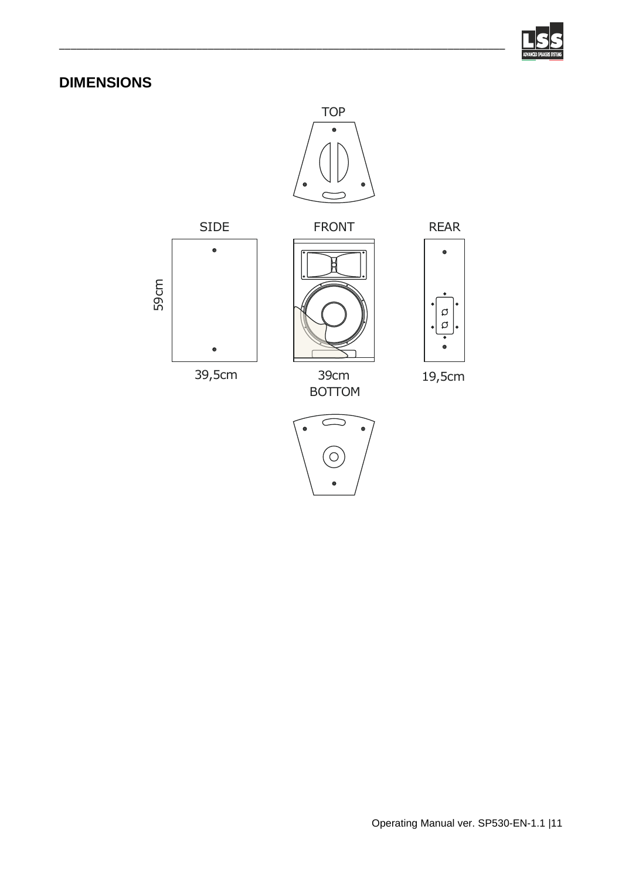

# <span id="page-10-0"></span>**DIMENSIONS**



\_\_\_\_\_\_\_\_\_\_\_\_\_\_\_\_\_\_\_\_\_\_\_\_\_\_\_\_\_\_\_\_\_\_\_\_\_\_\_\_\_\_\_\_\_\_\_\_\_\_\_\_\_\_\_\_\_\_\_\_\_\_\_\_\_\_\_\_\_\_\_\_\_\_\_\_\_\_





BOTTOM 39cm



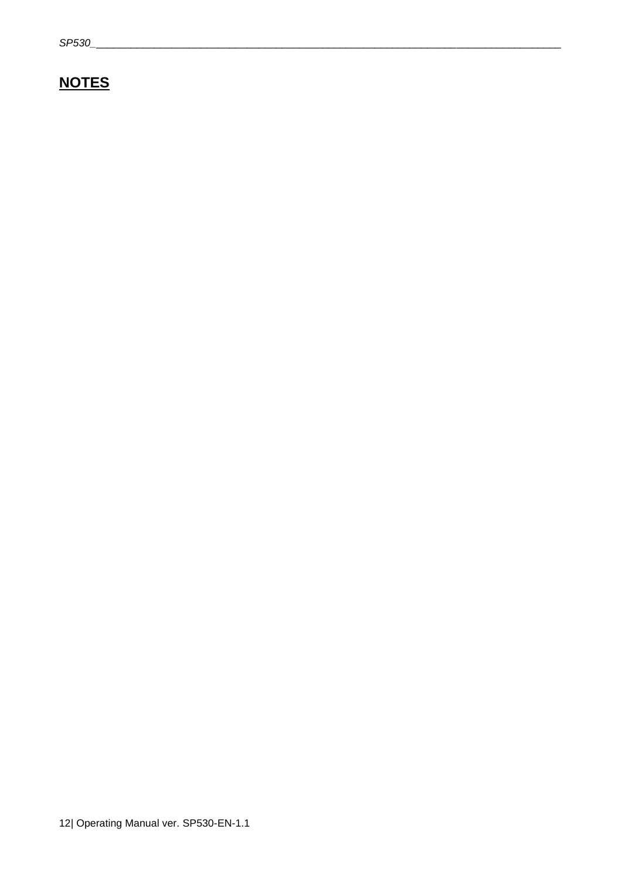# <span id="page-11-0"></span>**NOTES**